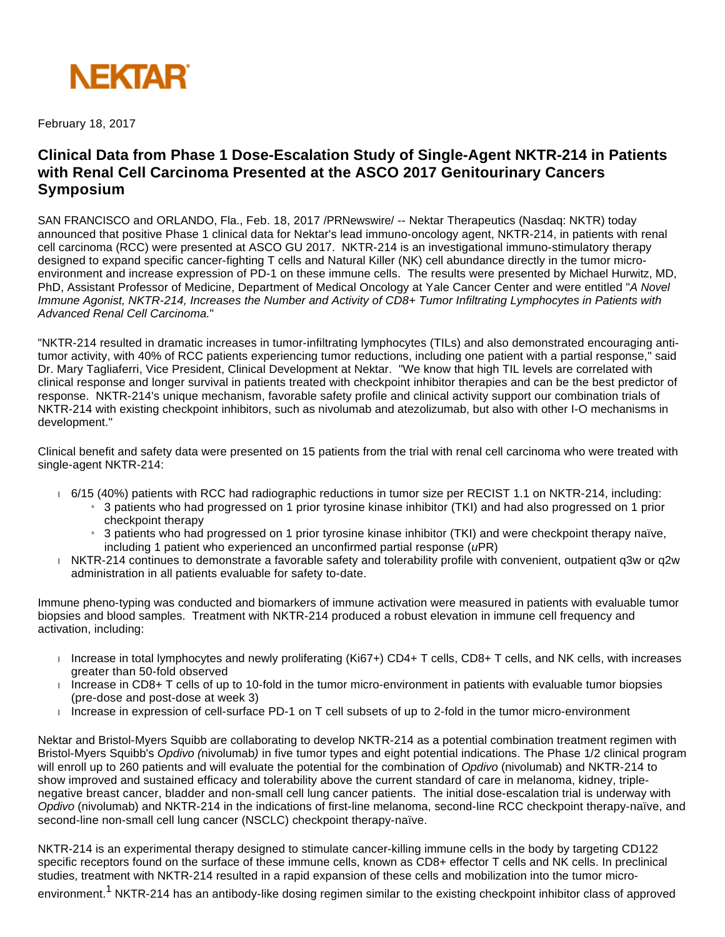

February 18, 2017

# **Clinical Data from Phase 1 Dose-Escalation Study of Single-Agent NKTR-214 in Patients with Renal Cell Carcinoma Presented at the ASCO 2017 Genitourinary Cancers Symposium**

SAN FRANCISCO and ORLANDO, Fla., Feb. 18, 2017 /PRNewswire/ -- Nektar Therapeutics (Nasdaq: NKTR) today announced that positive Phase 1 clinical data for Nektar's lead immuno-oncology agent, NKTR-214, in patients with renal cell carcinoma (RCC) were presented at ASCO GU 2017. NKTR-214 is an investigational immuno-stimulatory therapy designed to expand specific cancer-fighting T cells and Natural Killer (NK) cell abundance directly in the tumor microenvironment and increase expression of PD-1 on these immune cells. The results were presented by Michael Hurwitz, MD, PhD, Assistant Professor of Medicine, Department of Medical Oncology at Yale Cancer Center and were entitled "A Novel Immune Agonist, NKTR-214, Increases the Number and Activity of CD8+ Tumor Infiltrating Lymphocytes in Patients with Advanced Renal Cell Carcinoma."

"NKTR-214 resulted in dramatic increases in tumor-infiltrating lymphocytes (TILs) and also demonstrated encouraging antitumor activity, with 40% of RCC patients experiencing tumor reductions, including one patient with a partial response," said Dr. Mary Tagliaferri, Vice President, Clinical Development at Nektar. "We know that high TIL levels are correlated with clinical response and longer survival in patients treated with checkpoint inhibitor therapies and can be the best predictor of response. NKTR-214's unique mechanism, favorable safety profile and clinical activity support our combination trials of NKTR-214 with existing checkpoint inhibitors, such as nivolumab and atezolizumab, but also with other I-O mechanisms in development."

Clinical benefit and safety data were presented on 15 patients from the trial with renal cell carcinoma who were treated with single-agent NKTR-214:

- 6/15 (40%) patients with RCC had radiographic reductions in tumor size per RECIST 1.1 on NKTR-214, including:
	- <sup>3</sup> 3 patients who had progressed on 1 prior tyrosine kinase inhibitor (TKI) and had also progressed on 1 prior checkpoint therapy
	- » 3 patients who had progressed on 1 prior tyrosine kinase inhibitor (TKI) and were checkpoint therapy naïve, including 1 patient who experienced an unconfirmed partial response (uPR)
- NKTR-214 continues to demonstrate a favorable safety and tolerability profile with convenient, outpatient q3w or q2w administration in all patients evaluable for safety to-date.

Immune pheno-typing was conducted and biomarkers of immune activation were measured in patients with evaluable tumor biopsies and blood samples. Treatment with NKTR-214 produced a robust elevation in immune cell frequency and activation, including:

- Increase in total lymphocytes and newly proliferating (Ki67+) CD4+ T cells, CD8+ T cells, and NK cells, with increases greater than 50-fold observed
- $\blacksquare$  Increase in CD8+ T cells of up to 10-fold in the tumor micro-environment in patients with evaluable tumor biopsies (pre-dose and post-dose at week 3)
- $\overline{1}$  increase in expression of cell-surface PD-1 on T cell subsets of up to 2-fold in the tumor micro-environment

Nektar and Bristol-Myers Squibb are collaborating to develop NKTR-214 as a potential combination treatment regimen with Bristol-Myers Squibb's Opdivo (nivolumab) in five tumor types and eight potential indications. The Phase 1/2 clinical program will enroll up to 260 patients and will evaluate the potential for the combination of Opdivo (nivolumab) and NKTR-214 to show improved and sustained efficacy and tolerability above the current standard of care in melanoma, kidney, triplenegative breast cancer, bladder and non-small cell lung cancer patients. The initial dose-escalation trial is underway with Opdivo (nivolumab) and NKTR-214 in the indications of first-line melanoma, second-line RCC checkpoint therapy-naïve, and second-line non-small cell lung cancer (NSCLC) checkpoint therapy-naïve.

NKTR-214 is an experimental therapy designed to stimulate cancer-killing immune cells in the body by targeting CD122 specific receptors found on the surface of these immune cells, known as CD8+ effector T cells and NK cells. In preclinical studies, treatment with NKTR-214 resulted in a rapid expansion of these cells and mobilization into the tumor micro-

environment.<sup>1</sup> NKTR-214 has an antibody-like dosing regimen similar to the existing checkpoint inhibitor class of approved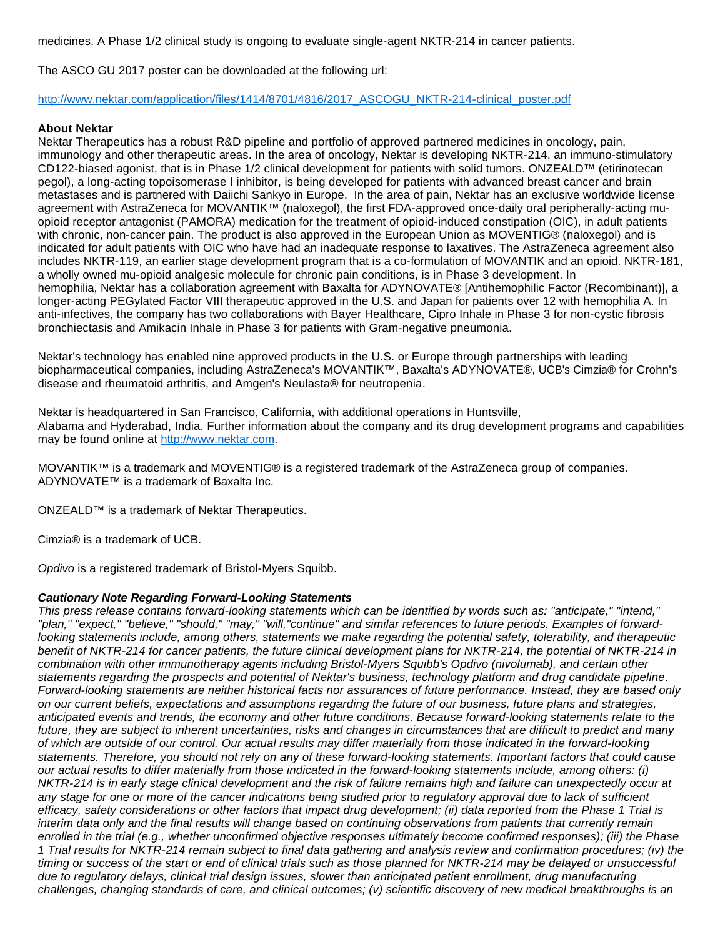medicines. A Phase 1/2 clinical study is ongoing to evaluate single-agent NKTR-214 in cancer patients.

The ASCO GU 2017 poster can be downloaded at the following url:

## [http://www.nektar.com/application/files/1414/8701/4816/2017\\_ASCOGU\\_NKTR-214-clinical\\_poster.pdf](http://www.nektar.com/application/files/1414/8701/4816/2017_ASCOGU_NKTR-214-clinical_poster.pdf)

## **About Nektar**

Nektar Therapeutics has a robust R&D pipeline and portfolio of approved partnered medicines in oncology, pain, immunology and other therapeutic areas. In the area of oncology, Nektar is developing NKTR-214, an immuno-stimulatory CD122-biased agonist, that is in Phase 1/2 clinical development for patients with solid tumors. ONZEALD™ (etirinotecan pegol), a long-acting topoisomerase I inhibitor, is being developed for patients with advanced breast cancer and brain metastases and is partnered with Daiichi Sankyo in Europe. In the area of pain, Nektar has an exclusive worldwide license agreement with AstraZeneca for MOVANTIK™ (naloxegol), the first FDA-approved once-daily oral peripherally-acting muopioid receptor antagonist (PAMORA) medication for the treatment of opioid-induced constipation (OIC), in adult patients with chronic, non-cancer pain. The product is also approved in the European Union as MOVENTIG® (naloxegol) and is indicated for adult patients with OIC who have had an inadequate response to laxatives. The AstraZeneca agreement also includes NKTR-119, an earlier stage development program that is a co-formulation of MOVANTIK and an opioid. NKTR-181, a wholly owned mu-opioid analgesic molecule for chronic pain conditions, is in Phase 3 development. In hemophilia, Nektar has a collaboration agreement with Baxalta for ADYNOVATE® [Antihemophilic Factor (Recombinant)], a longer-acting PEGylated Factor VIII therapeutic approved in the U.S. and Japan for patients over 12 with hemophilia A. In anti-infectives, the company has two collaborations with Bayer Healthcare, Cipro Inhale in Phase 3 for non-cystic fibrosis bronchiectasis and Amikacin Inhale in Phase 3 for patients with Gram-negative pneumonia.

Nektar's technology has enabled nine approved products in the U.S. or Europe through partnerships with leading biopharmaceutical companies, including AstraZeneca's MOVANTIK™, Baxalta's ADYNOVATE®, UCB's Cimzia® for Crohn's disease and rheumatoid arthritis, and Amgen's Neulasta® for neutropenia.

Nektar is headquartered in San Francisco, California, with additional operations in Huntsville, Alabama and Hyderabad, India. Further information about the company and its drug development programs and capabilities may be found online at [http://www.nektar.com.](http://www.nektar.com/)

MOVANTIK™ is a trademark and MOVENTIG® is a registered trademark of the AstraZeneca group of companies. ADYNOVATE™ is a trademark of Baxalta Inc.

ONZEALD™ is a trademark of Nektar Therapeutics.

Cimzia® is a trademark of UCB.

Opdivo is a registered trademark of Bristol-Myers Squibb.

#### **Cautionary Note Regarding Forward-Looking Statements**

This press release contains forward-looking statements which can be identified by words such as: "anticipate," "intend," "plan," "expect," "believe," "should," "may," "will,"continue" and similar references to future periods. Examples of forwardlooking statements include, among others, statements we make regarding the potential safety, tolerability, and therapeutic benefit of NKTR-214 for cancer patients, the future clinical development plans for NKTR-214, the potential of NKTR-214 in combination with other immunotherapy agents including Bristol-Myers Squibb's Opdivo (nivolumab), and certain other statements regarding the prospects and potential of Nektar's business, technology platform and drug candidate pipeline. Forward-looking statements are neither historical facts nor assurances of future performance. Instead, they are based only on our current beliefs, expectations and assumptions regarding the future of our business, future plans and strategies, anticipated events and trends, the economy and other future conditions. Because forward-looking statements relate to the future, they are subject to inherent uncertainties, risks and changes in circumstances that are difficult to predict and many of which are outside of our control. Our actual results may differ materially from those indicated in the forward-looking statements. Therefore, you should not rely on any of these forward-looking statements. Important factors that could cause our actual results to differ materially from those indicated in the forward-looking statements include, among others: (i) NKTR-214 is in early stage clinical development and the risk of failure remains high and failure can unexpectedly occur at any stage for one or more of the cancer indications being studied prior to regulatory approval due to lack of sufficient efficacy, safety considerations or other factors that impact drug development; (ii) data reported from the Phase 1 Trial is interim data only and the final results will change based on continuing observations from patients that currently remain enrolled in the trial (e.g., whether unconfirmed objective responses ultimately become confirmed responses); (iii) the Phase 1 Trial results for NKTR-214 remain subject to final data gathering and analysis review and confirmation procedures; (iv) the timing or success of the start or end of clinical trials such as those planned for NKTR-214 may be delayed or unsuccessful due to regulatory delays, clinical trial design issues, slower than anticipated patient enrollment, drug manufacturing challenges, changing standards of care, and clinical outcomes; (v) scientific discovery of new medical breakthroughs is an